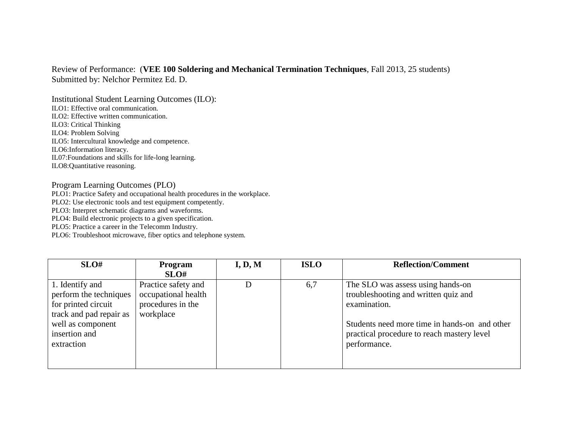## Review of Performance: (**VEE 100 Soldering and Mechanical Termination Techniques**, Fall 2013, 25 students) Submitted by: Nelchor Permitez Ed. D.

Institutional Student Learning Outcomes (ILO): ILO1: Effective oral communication. ILO2: Effective written communication. ILO3: Critical Thinking ILO4: Problem Solving ILO5: Intercultural knowledge and competence. ILO6:Information literacy. IL07:Foundations and skills for life-long learning. ILO8:Quantitative reasoning.

## Program Learning Outcomes (PLO)

PLO1: Practice Safety and occupational health procedures in the workplace.

PLO2: Use electronic tools and test equipment competently.

PLO3: Interpret schematic diagrams and waveforms.

PLO4: Build electronic projects to a given specification.

PLO5: Practice a career in the Telecomm Industry.

PLO6: Troubleshoot microwave, fiber optics and telephone system.

| SLO#                    | <b>Program</b>      | I, D, M | <b>ISLO</b> | <b>Reflection/Comment</b>                     |
|-------------------------|---------------------|---------|-------------|-----------------------------------------------|
|                         | SLO#                |         |             |                                               |
| 1. Identify and         | Practice safety and | D       | 6,7         | The SLO was assess using hands-on             |
| perform the techniques  | occupational health |         |             | troubleshooting and written quiz and          |
| for printed circuit     | procedures in the   |         |             | examination.                                  |
| track and pad repair as | workplace           |         |             |                                               |
| well as component       |                     |         |             | Students need more time in hands-on and other |
| insertion and           |                     |         |             | practical procedure to reach mastery level    |
| extraction              |                     |         |             | performance.                                  |
|                         |                     |         |             |                                               |
|                         |                     |         |             |                                               |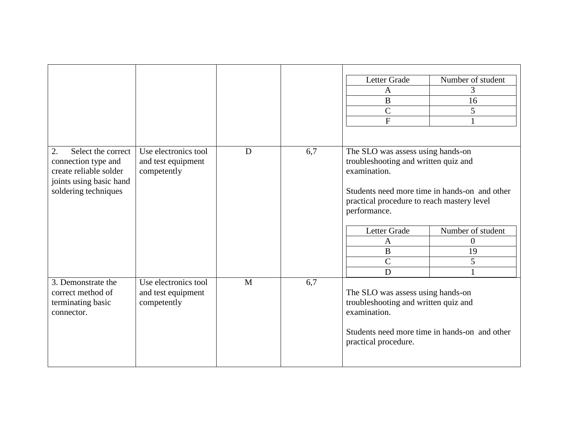|                                                                                                                              |                                                           |              |     | Letter Grade<br>A<br>$\bf{B}$<br>$\mathcal{C}$<br>${\bf F}$                                                                                                                                                                                                                                                         | Number of student<br>3<br>16<br>5 |
|------------------------------------------------------------------------------------------------------------------------------|-----------------------------------------------------------|--------------|-----|---------------------------------------------------------------------------------------------------------------------------------------------------------------------------------------------------------------------------------------------------------------------------------------------------------------------|-----------------------------------|
| 2.<br>Select the correct<br>connection type and<br>create reliable solder<br>joints using basic hand<br>soldering techniques | Use electronics tool<br>and test equipment<br>competently | D            | 6,7 | The SLO was assess using hands-on<br>troubleshooting and written quiz and<br>examination.<br>Students need more time in hands-on and other<br>practical procedure to reach mastery level<br>performance.<br>Letter Grade<br>Number of student<br>$\theta$<br>A<br>B<br>19<br>$\mathcal{C}$<br>5<br>$\mathbf D$<br>1 |                                   |
| 3. Demonstrate the<br>correct method of<br>terminating basic<br>connector.                                                   | Use electronics tool<br>and test equipment<br>competently | $\mathbf{M}$ | 6,7 | The SLO was assess using hands-on<br>troubleshooting and written quiz and<br>examination.<br>Students need more time in hands-on and other<br>practical procedure.                                                                                                                                                  |                                   |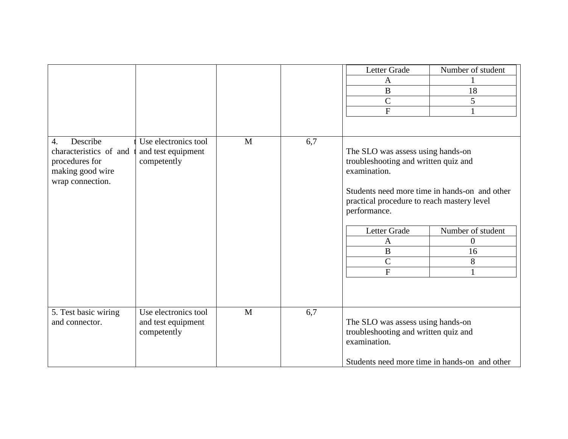|                                                                                                                  |                                                           |              |     | Letter Grade<br>$\mathbf{A}$<br>$\bf{B}$<br>$\mathcal{C}$<br>$\mathbf{F}$                                                                                                                                                                                                                                                  | Number of student<br>18<br>5 |
|------------------------------------------------------------------------------------------------------------------|-----------------------------------------------------------|--------------|-----|----------------------------------------------------------------------------------------------------------------------------------------------------------------------------------------------------------------------------------------------------------------------------------------------------------------------------|------------------------------|
| Describe<br>$\overline{4}$ .<br>characteristics of and<br>procedures for<br>making good wire<br>wrap connection. | Use electronics tool<br>and test equipment<br>competently | $\mathbf{M}$ | 6,7 | The SLO was assess using hands-on<br>troubleshooting and written quiz and<br>examination.<br>Students need more time in hands-on and other<br>practical procedure to reach mastery level<br>performance.<br>Letter Grade<br>Number of student<br>$\boldsymbol{0}$<br>A<br>B<br>16<br>$\overline{C}$<br>8<br>$\overline{F}$ |                              |
| 5. Test basic wiring<br>and connector.                                                                           | Use electronics tool<br>and test equipment<br>competently | M            | 6,7 | The SLO was assess using hands-on<br>troubleshooting and written quiz and<br>examination.<br>Students need more time in hands-on and other                                                                                                                                                                                 |                              |